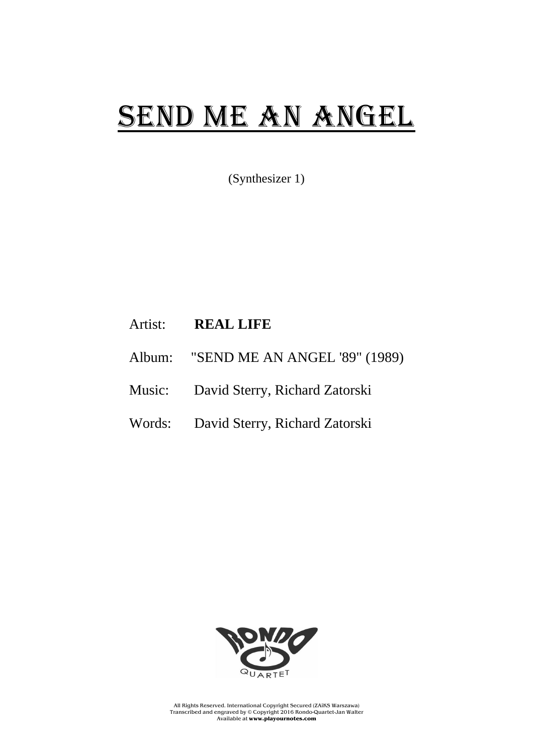## SEND ME AN ANGEL

(Synthesizer 1)

## Artist: **REAL LIFE**

- Album: "SEND ME AN ANGEL '89" (1989)
- Music: David Sterry, Richard Zatorski
- Words: David Sterry, Richard Zatorski



All Rights Reserved. International Copyright Secured (ZAiKS Warszawa) Transcribed and engraved by © Copyright 2016 Rondo-Quartet-Jan Walter Available at **www.playournotes.com**